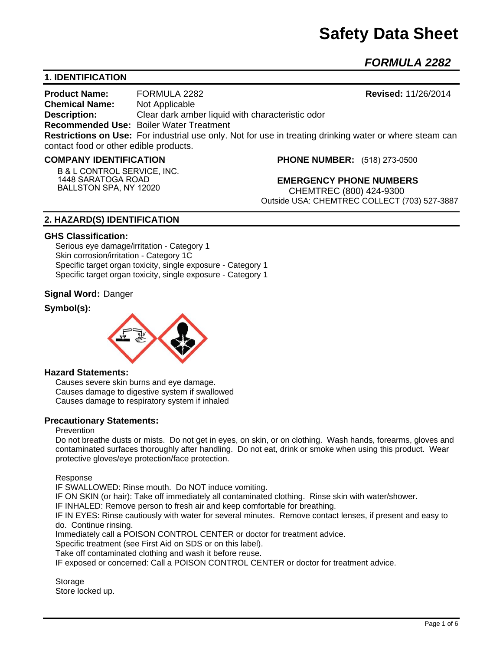# **Safety Data Sheet**

*FORMULA 2282* 

# **1. IDENTIFICATION**

**Product Name:** FORMULA 2282 **Revised:** 11/26/2014 **Chemical Name:** Not Applicable **Description:** Clear dark amber liquid with characteristic odor **Recommended Use:** Boiler Water Treatment **Restrictions on Use:** For industrial use only. Not for use in treating drinking water or where steam can contact food or other edible products.

#### **COMPANY IDENTIFICATION**

**B & L CONTROL SERVICE, INC. 1448 SARATOGA ROAD BALLSTON SPA, NY 12020**

**PHONE NUMBER:** (518) 273-0500

**EMERGENCY PHONE NUMBERS** CHEMTREC (800) 424-9300 Outside USA: CHEMTREC COLLECT (703) 527-3887

# **2. HAZARD(S) IDENTIFICATION**

#### **GHS Classification:**

Serious eye damage/irritation - Category 1 Skin corrosion/irritation - Category 1C Specific target organ toxicity, single exposure - Category 1 Specific target organ toxicity, single exposure - Category 1

#### **Signal Word:** Danger

# **Symbol(s):**



#### **Hazard Statements:**

Causes severe skin burns and eye damage. Causes damage to digestive system if swallowed Causes damage to respiratory system if inhaled

#### **Precautionary Statements:**

#### Prevention

Do not breathe dusts or mists. Do not get in eyes, on skin, or on clothing. Wash hands, forearms, gloves and contaminated surfaces thoroughly after handling. Do not eat, drink or smoke when using this product. Wear protective gloves/eye protection/face protection.

Response

IF SWALLOWED: Rinse mouth. Do NOT induce vomiting.

IF ON SKIN (or hair): Take off immediately all contaminated clothing. Rinse skin with water/shower.

IF INHALED: Remove person to fresh air and keep comfortable for breathing.

IF IN EYES: Rinse cautiously with water for several minutes. Remove contact lenses, if present and easy to do. Continue rinsing.

Immediately call a POISON CONTROL CENTER or doctor for treatment advice.

Specific treatment (see First Aid on SDS or on this label).

Take off contaminated clothing and wash it before reuse.

IF exposed or concerned: Call a POISON CONTROL CENTER or doctor for treatment advice.

**Storage** Store locked up.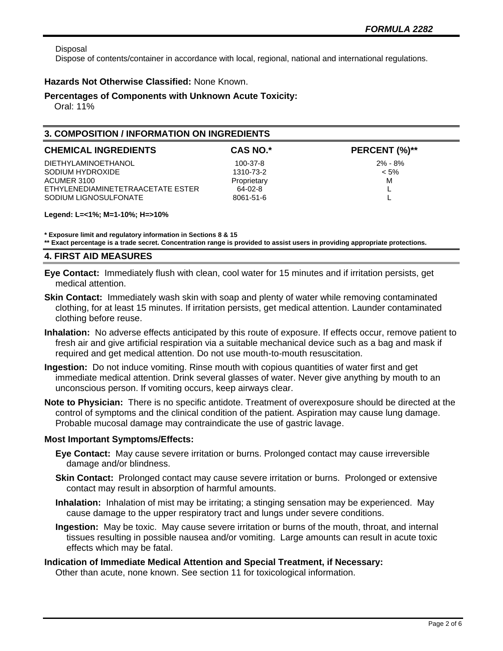Disposal

Dispose of contents/container in accordance with local, regional, national and international regulations.

### **Hazards Not Otherwise Classified:** None Known.

#### **Percentages of Components with Unknown Acute Toxicity:**

Oral: 11%

## **3. COMPOSITION / INFORMATION ON INGREDIENTS**

| <b>CHEMICAL INGREDIENTS</b>       | <b>CAS NO.*</b> | PERCENT (%)** |
|-----------------------------------|-----------------|---------------|
| DIETHYLAMINOETHANOL               | 100-37-8        | $2\% - 8\%$   |
| SODIUM HYDROXIDE                  | 1310-73-2       | $< 5\%$       |
| ACUMER 3100                       | Proprietary     | M             |
| ETHYLENEDIAMINETETRAACETATE ESTER | 64-02-8         |               |
| SODIUM LIGNOSULFONATE             | 8061-51-6       |               |

#### **Legend: L=<1%; M=1-10%; H=>10%**

**\* Exposure limit and regulatory information in Sections 8 & 15 \*\* Exact percentage is a trade secret. Concentration range is provided to assist users in providing appropriate protections.**

#### **4. FIRST AID MEASURES**

**Eye Contact:** Immediately flush with clean, cool water for 15 minutes and if irritation persists, get medical attention.

- **Skin Contact:** Immediately wash skin with soap and plenty of water while removing contaminated clothing, for at least 15 minutes. If irritation persists, get medical attention. Launder contaminated clothing before reuse.
- **Inhalation:** No adverse effects anticipated by this route of exposure. If effects occur, remove patient to fresh air and give artificial respiration via a suitable mechanical device such as a bag and mask if required and get medical attention. Do not use mouth-to-mouth resuscitation.
- **Ingestion:** Do not induce vomiting. Rinse mouth with copious quantities of water first and get immediate medical attention. Drink several glasses of water. Never give anything by mouth to an unconscious person. If vomiting occurs, keep airways clear.
- **Note to Physician:** There is no specific antidote. Treatment of overexposure should be directed at the control of symptoms and the clinical condition of the patient. Aspiration may cause lung damage. Probable mucosal damage may contraindicate the use of gastric lavage.

#### **Most Important Symptoms/Effects:**

- **Eye Contact:** May cause severe irritation or burns. Prolonged contact may cause irreversible damage and/or blindness.
- **Skin Contact:** Prolonged contact may cause severe irritation or burns. Prolonged or extensive contact may result in absorption of harmful amounts.
- **Inhalation:** Inhalation of mist may be irritating; a stinging sensation may be experienced. May cause damage to the upper respiratory tract and lungs under severe conditions.
- **Ingestion:** May be toxic. May cause severe irritation or burns of the mouth, throat, and internal tissues resulting in possible nausea and/or vomiting. Large amounts can result in acute toxic effects which may be fatal.

#### **Indication of Immediate Medical Attention and Special Treatment, if Necessary:**

Other than acute, none known. See section 11 for toxicological information.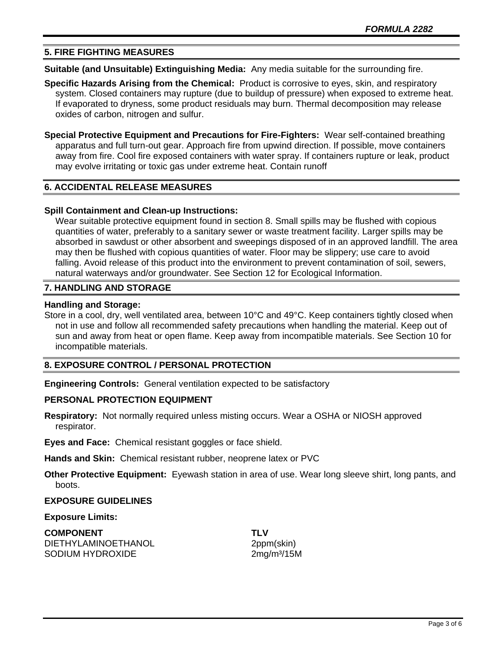# **5. FIRE FIGHTING MEASURES**

**Suitable (and Unsuitable) Extinguishing Media:** Any media suitable for the surrounding fire.

- **Specific Hazards Arising from the Chemical:** Product is corrosive to eyes, skin, and respiratory system. Closed containers may rupture (due to buildup of pressure) when exposed to extreme heat. If evaporated to dryness, some product residuals may burn. Thermal decomposition may release oxides of carbon, nitrogen and sulfur.
- **Special Protective Equipment and Precautions for Fire-Fighters:** Wear self-contained breathing apparatus and full turn-out gear. Approach fire from upwind direction. If possible, move containers away from fire. Cool fire exposed containers with water spray. If containers rupture or leak, product may evolve irritating or toxic gas under extreme heat. Contain runoff

## **6. ACCIDENTAL RELEASE MEASURES**

#### **Spill Containment and Clean-up Instructions:**

Wear suitable protective equipment found in section 8. Small spills may be flushed with copious quantities of water, preferably to a sanitary sewer or waste treatment facility. Larger spills may be absorbed in sawdust or other absorbent and sweepings disposed of in an approved landfill. The area may then be flushed with copious quantities of water. Floor may be slippery; use care to avoid falling. Avoid release of this product into the environment to prevent contamination of soil, sewers, natural waterways and/or groundwater. See Section 12 for Ecological Information.

#### **7. HANDLING AND STORAGE**

#### **Handling and Storage:**

Store in a cool, dry, well ventilated area, between 10°C and 49°C. Keep containers tightly closed when not in use and follow all recommended safety precautions when handling the material. Keep out of sun and away from heat or open flame. Keep away from incompatible materials. See Section 10 for incompatible materials.

## **8. EXPOSURE CONTROL / PERSONAL PROTECTION**

**Engineering Controls:** General ventilation expected to be satisfactory

#### **PERSONAL PROTECTION EQUIPMENT**

**Respiratory:** Not normally required unless misting occurs. Wear a OSHA or NIOSH approved respirator.

**Eyes and Face:** Chemical resistant goggles or face shield.

**Hands and Skin:** Chemical resistant rubber, neoprene latex or PVC

**Other Protective Equipment:** Eyewash station in area of use. Wear long sleeve shirt, long pants, and boots.

#### **EXPOSURE GUIDELINES**

#### **Exposure Limits:**

**COMPONENT TLV** DIETHYLAMINOETHANOL 2ppm(skin) SODIUM HYDROXIDE 2mg/m<sup>3</sup>/15M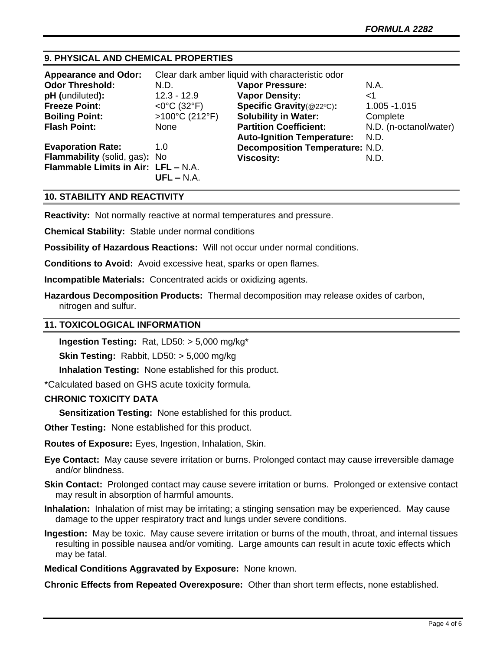# **9. PHYSICAL AND CHEMICAL PROPERTIES**

| <b>Appearance and Odor:</b>         | Clear dark amber liquid with characteristic odor |                                        |                        |
|-------------------------------------|--------------------------------------------------|----------------------------------------|------------------------|
| <b>Odor Threshold:</b>              | N.D.                                             | <b>Vapor Pressure:</b>                 | N.A.                   |
| pH (undiluted):                     | $12.3 - 12.9$                                    | <b>Vapor Density:</b>                  | ا>                     |
| <b>Freeze Point:</b>                | $<$ 0°C (32°F)                                   | Specific Gravity(@22°C):               | 1.005 - 1.015          |
| <b>Boiling Point:</b>               | >100°C (212°F)                                   | <b>Solubility in Water:</b>            | Complete               |
| <b>Flash Point:</b>                 | <b>None</b>                                      | <b>Partition Coefficient:</b>          | N.D. (n-octanol/water) |
|                                     |                                                  | <b>Auto-Ignition Temperature:</b>      | N.D.                   |
| <b>Evaporation Rate:</b>            | 1.0                                              | <b>Decomposition Temperature: N.D.</b> |                        |
| Flammability (solid, gas): No       |                                                  | <b>Viscosity:</b>                      | N.D.                   |
| Flammable Limits in Air: LFL - N.A. | $UFL - N.A.$                                     |                                        |                        |

# **10. STABILITY AND REACTIVITY**

**Reactivity:** Not normally reactive at normal temperatures and pressure.

**Chemical Stability:** Stable under normal conditions

**Possibility of Hazardous Reactions:** Will not occur under normal conditions.

**Conditions to Avoid:** Avoid excessive heat, sparks or open flames.

**Incompatible Materials:** Concentrated acids or oxidizing agents.

**Hazardous Decomposition Products:** Thermal decomposition may release oxides of carbon, nitrogen and sulfur.

#### **11. TOXICOLOGICAL INFORMATION**

**Ingestion Testing:** Rat, LD50: > 5,000 mg/kg\*

**Skin Testing:** Rabbit, LD50: > 5,000 mg/kg

**Inhalation Testing:** None established for this product.

\*Calculated based on GHS acute toxicity formula.

#### **CHRONIC TOXICITY DATA**

**Sensitization Testing:** None established for this product.

**Other Testing:** None established for this product.

**Routes of Exposure:** Eyes, Ingestion, Inhalation, Skin.

**Eye Contact:** May cause severe irritation or burns. Prolonged contact may cause irreversible damage and/or blindness.

**Skin Contact:** Prolonged contact may cause severe irritation or burns. Prolonged or extensive contact may result in absorption of harmful amounts.

**Inhalation:** Inhalation of mist may be irritating; a stinging sensation may be experienced. May cause damage to the upper respiratory tract and lungs under severe conditions.

**Ingestion:** May be toxic. May cause severe irritation or burns of the mouth, throat, and internal tissues resulting in possible nausea and/or vomiting. Large amounts can result in acute toxic effects which may be fatal.

**Medical Conditions Aggravated by Exposure:** None known.

**Chronic Effects from Repeated Overexposure:** Other than short term effects, none established.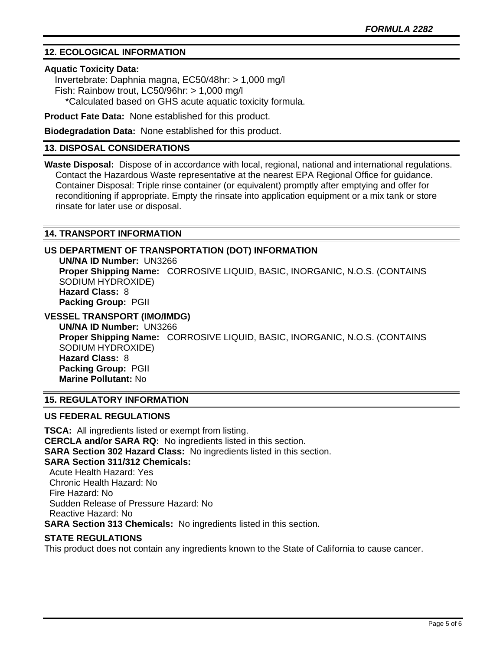# **12. ECOLOGICAL INFORMATION**

#### **Aquatic Toxicity Data:**

 Invertebrate: Daphnia magna, EC50/48hr: > 1,000 mg/l Fish: Rainbow trout, LC50/96hr: > 1,000 mg/l \*Calculated based on GHS acute aquatic toxicity formula.

**Product Fate Data:** None established for this product.

**Biodegradation Data:** None established for this product.

#### **13. DISPOSAL CONSIDERATIONS**

**Waste Disposal:** Dispose of in accordance with local, regional, national and international regulations. Contact the Hazardous Waste representative at the nearest EPA Regional Office for guidance. Container Disposal: Triple rinse container (or equivalent) promptly after emptying and offer for reconditioning if appropriate. Empty the rinsate into application equipment or a mix tank or store rinsate for later use or disposal.

# **14. TRANSPORT INFORMATION**

# **US DEPARTMENT OF TRANSPORTATION (DOT) INFORMATION**

**UN/NA ID Number:** UN3266 **Proper Shipping Name:** CORROSIVE LIQUID, BASIC, INORGANIC, N.O.S. (CONTAINS SODIUM HYDROXIDE) **Hazard Class:** 8 **Packing Group:** PGII

# **VESSEL TRANSPORT (IMO/IMDG)**

**UN/NA ID Number:** UN3266 **Proper Shipping Name:** CORROSIVE LIQUID, BASIC, INORGANIC, N.O.S. (CONTAINS SODIUM HYDROXIDE) **Hazard Class:** 8 **Packing Group:** PGII **Marine Pollutant:** No

# **15. REGULATORY INFORMATION**

# **US FEDERAL REGULATIONS**

**TSCA:** All ingredients listed or exempt from listing. **CERCLA and/or SARA RQ:** No ingredients listed in this section. **SARA Section 302 Hazard Class:** No ingredients listed in this section. **SARA Section 311/312 Chemicals:**  Acute Health Hazard: Yes Chronic Health Hazard: No Fire Hazard: No

 Sudden Release of Pressure Hazard: No Reactive Hazard: No

**SARA Section 313 Chemicals:** No ingredients listed in this section.

#### **STATE REGULATIONS**

This product does not contain any ingredients known to the State of California to cause cancer.